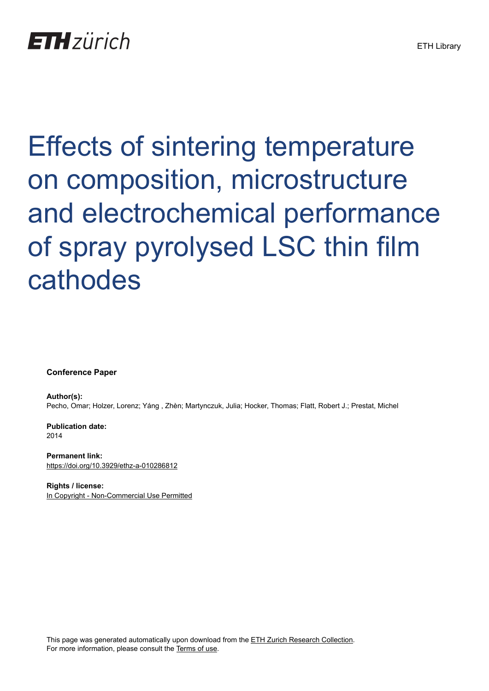Effects of sintering temperature on composition, microstructure and electrochemical performance of spray pyrolysed LSC thin film cathodes

**Conference Paper**

**Author(s):** Pecho, Omar; Holzer, Lorenz; Yáng , Zhèn; Martynczuk, Julia; Hocker, Thomas; Flatt, Robert J.; Prestat, Michel

**Publication date:** 2014

**Permanent link:** <https://doi.org/10.3929/ethz-a-010286812>

**Rights / license:** [In Copyright - Non-Commercial Use Permitted](http://rightsstatements.org/page/InC-NC/1.0/)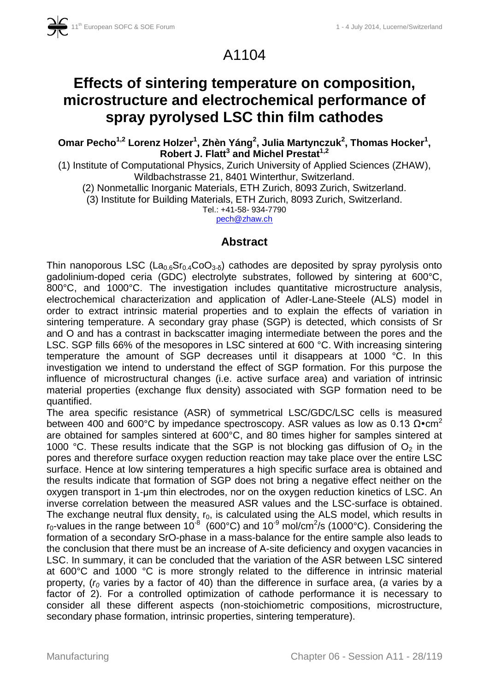A1104

# **Effects of sintering temperature on composition, microstructure and electrochemical performance of spray pyrolysed LSC thin film cathodes**

**Omar Pecho1,2 Lorenz Holzer<sup>1</sup> , Zhèn Yáng<sup>2</sup> , Julia Martynczuk<sup>2</sup> , Thomas Hocker<sup>1</sup> , Robert J. Flatt<sup>3</sup> and Michel Prestat1,2**

(1) Institute of Computational Physics, Zurich University of Applied Sciences (ZHAW), Wildbachstrasse 21, 8401 Winterthur, Switzerland.

(2) Nonmetallic Inorganic Materials, ETH Zurich, 8093 Zurich, Switzerland.

(3) Institute for Building Materials, ETH Zurich, 8093 Zurich, Switzerland.

Tel.: +41-58- 934-7790

pech@zhaw.ch

## **Abstract**

Thin nanoporous LSC (La<sub>0.6</sub>Sr<sub>0.4</sub>CoO<sub>3-δ</sub>) cathodes are deposited by spray pyrolysis onto gadolinium-doped ceria (GDC) electrolyte substrates, followed by sintering at 600°C, 800°C, and 1000°C. The investigation includes quantitative microstructure analysis, electrochemical characterization and application of Adler-Lane-Steele (ALS) model in order to extract intrinsic material properties and to explain the effects of variation in sintering temperature. A secondary gray phase (SGP) is detected, which consists of Sr and O and has a contrast in backscatter imaging intermediate between the pores and the LSC. SGP fills 66% of the mesopores in LSC sintered at 600 °C. With increasing sintering temperature the amount of SGP decreases until it disappears at 1000 °C. In this investigation we intend to understand the effect of SGP formation. For this purpose the influence of microstructural changes (i.e. active surface area) and variation of intrinsic material properties (exchange flux density) associated with SGP formation need to be quantified.

The area specific resistance (ASR) of symmetrical LSC/GDC/LSC cells is measured between 400 and 600°C by impedance spectroscopy. ASR values as low as 0.13  $Ω$ •cm<sup>2</sup> are obtained for samples sintered at 600°C, and 80 times higher for samples sintered at 1000 °C. These results indicate that the SGP is not blocking gas diffusion of  $O<sub>2</sub>$  in the pores and therefore surface oxygen reduction reaction may take place over the entire LSC surface. Hence at low sintering temperatures a high specific surface area is obtained and the results indicate that formation of SGP does not bring a negative effect neither on the oxygen transport in 1-μm thin electrodes, nor on the oxygen reduction kinetics of LSC. An inverse correlation between the measured ASR values and the LSC-surface is obtained. The exchange neutral flux density,  $r_0$ , is calculated using the ALS model, which results in  $r_0$ -values in the range between 10<sup>-8</sup> (600°C) and 10<sup>-9</sup> mol/cm<sup>2</sup>/s (1000°C). Considering the formation of a secondary SrO-phase in a mass-balance for the entire sample also leads to the conclusion that there must be an increase of A-site deficiency and oxygen vacancies in LSC. In summary, it can be concluded that the variation of the ASR between LSC sintered at 600°C and 1000 °C is more strongly related to the difference in intrinsic material property, (*r<sup>0</sup>* varies by a factor of 40) than the difference in surface area, (*a* varies by a factor of 2). For a controlled optimization of cathode performance it is necessary to consider all these different aspects (non-stoichiometric compositions, microstructure, secondary phase formation, intrinsic properties, sintering temperature).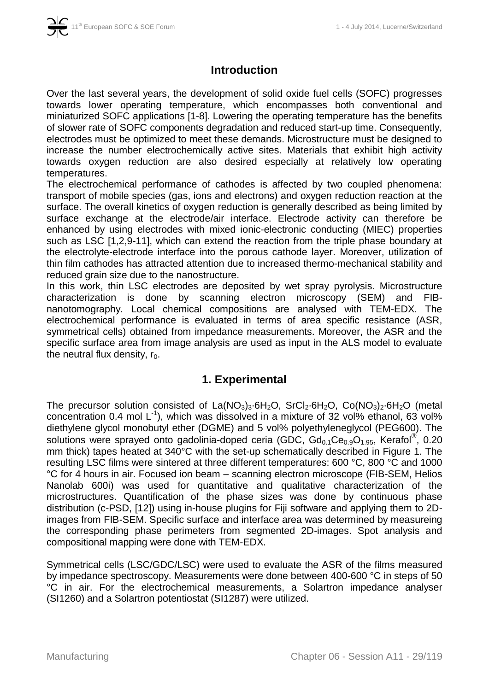

# **Introduction**

Over the last several years, the development of solid oxide fuel cells (SOFC) progresses towards lower operating temperature, which encompasses both conventional and miniaturized SOFC applications [1-8]. Lowering the operating temperature has the benefits of slower rate of SOFC components degradation and reduced start-up time. Consequently, electrodes must be optimized to meet these demands. Microstructure must be designed to increase the number electrochemically active sites. Materials that exhibit high activity towards oxygen reduction are also desired especially at relatively low operating temperatures.

The electrochemical performance of cathodes is affected by two coupled phenomena: transport of mobile species (gas, ions and electrons) and oxygen reduction reaction at the surface. The overall kinetics of oxygen reduction is generally described as being limited by surface exchange at the electrode/air interface. Electrode activity can therefore be enhanced by using electrodes with mixed ionic-electronic conducting (MIEC) properties such as LSC [1,2,9-11], which can extend the reaction from the triple phase boundary at the electrolyte-electrode interface into the porous cathode layer. Moreover, utilization of thin film cathodes has attracted attention due to increased thermo-mechanical stability and reduced grain size due to the nanostructure.

In this work, thin LSC electrodes are deposited by wet spray pyrolysis. Microstructure characterization is done by scanning electron microscopy (SEM) and FIBnanotomography. Local chemical compositions are analysed with TEM-EDX. The electrochemical performance is evaluated in terms of area specific resistance (ASR, symmetrical cells) obtained from impedance measurements. Moreover, the ASR and the specific surface area from image analysis are used as input in the ALS model to evaluate the neutral flux density,  $r_0$ .

## **1. Experimental**

The precursor solution consisted of  $La(NO<sub>3</sub>)<sub>3</sub>·6H<sub>2</sub>O$ ,  $SrCl<sub>2</sub>·6H<sub>2</sub>O$ ,  $Co(NO<sub>3</sub>)<sub>2</sub>·6H<sub>2</sub>O$  (metal concentration 0.4 mol  $L^{-1}$ ), which was dissolved in a mixture of 32 vol% ethanol, 63 vol% diethylene glycol monobutyl ether (DGME) and 5 vol% polyethyleneglycol (PEG600). The solutions were sprayed onto gadolinia-doped ceria (GDC,  $Gd_{0.1}Ce_{0.9}O_{1.95}$ , Kerafol®, 0.20 mm thick) tapes heated at 340°C with the set-up schematically described in Figure 1. The resulting LSC films were sintered at three different temperatures: 600 °C, 800 °C and 1000 °C for 4 hours in air. Focused ion beam – scanning electron microscope (FIB-SEM, Helios Nanolab 600i) was used for quantitative and qualitative characterization of the microstructures. Quantification of the phase sizes was done by continuous phase distribution (c-PSD, [12]) using in-house plugins for Fiji software and applying them to 2Dimages from FIB-SEM. Specific surface and interface area was determined by measureing the corresponding phase perimeters from segmented 2D-images. Spot analysis and compositional mapping were done with TEM-EDX.

Symmetrical cells (LSC/GDC/LSC) were used to evaluate the ASR of the films measured by impedance spectroscopy. Measurements were done between 400-600 °C in steps of 50 °C in air. For the electrochemical measurements, a Solartron impedance analyser (SI1260) and a Solartron potentiostat (SI1287) were utilized.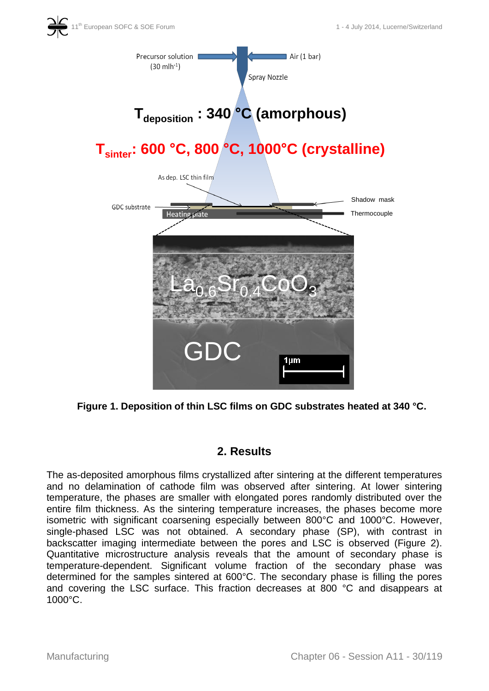



**Figure 1. Deposition of thin LSC films on GDC substrates heated at 340 °C.**

# **2. Results**

The as-deposited amorphous films crystallized after sintering at the different temperatures and no delamination of cathode film was observed after sintering. At lower sintering temperature, the phases are smaller with elongated pores randomly distributed over the entire film thickness. As the sintering temperature increases, the phases become more isometric with significant coarsening especially between 800°C and 1000°C. However, single-phased LSC was not obtained. A secondary phase (SP), with contrast in backscatter imaging intermediate between the pores and LSC is observed (Figure 2). Quantitative microstructure analysis reveals that the amount of secondary phase is temperature-dependent. Significant volume fraction of the secondary phase was determined for the samples sintered at 600°C. The secondary phase is filling the pores and covering the LSC surface. This fraction decreases at 800 °C and disappears at 1000°C.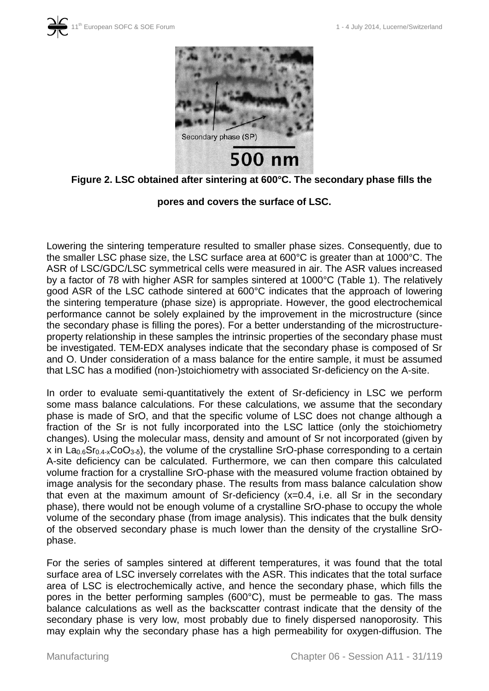



#### **Figure 2. LSC obtained after sintering at 600°C. The secondary phase fills the**

#### **pores and covers the surface of LSC.**

Lowering the sintering temperature resulted to smaller phase sizes. Consequently, due to the smaller LSC phase size, the LSC surface area at 600°C is greater than at 1000°C. The ASR of LSC/GDC/LSC symmetrical cells were measured in air. The ASR values increased by a factor of 78 with higher ASR for samples sintered at 1000°C (Table 1). The relatively good ASR of the LSC cathode sintered at 600°C indicates that the approach of lowering the sintering temperature (phase size) is appropriate. However, the good electrochemical performance cannot be solely explained by the improvement in the microstructure (since the secondary phase is filling the pores). For a better understanding of the microstructureproperty relationship in these samples the intrinsic properties of the secondary phase must be investigated. TEM-EDX analyses indicate that the secondary phase is composed of Sr and O. Under consideration of a mass balance for the entire sample, it must be assumed that LSC has a modified (non-)stoichiometry with associated Sr-deficiency on the A-site.

In order to evaluate semi-quantitatively the extent of Sr-deficiency in LSC we perform some mass balance calculations. For these calculations, we assume that the secondary phase is made of SrO, and that the specific volume of LSC does not change although a fraction of the Sr is not fully incorporated into the LSC lattice (only the stoichiometry changes). Using the molecular mass, density and amount of Sr not incorporated (given by x in  $La<sub>0.6</sub>Sr<sub>0.4-x</sub>CoO<sub>3-δ</sub>$ , the volume of the crystalline SrO-phase corresponding to a certain A-site deficiency can be calculated. Furthermore, we can then compare this calculated volume fraction for a crystalline SrO-phase with the measured volume fraction obtained by image analysis for the secondary phase. The results from mass balance calculation show that even at the maximum amount of Sr-deficiency (x=0.4, i.e. all Sr in the secondary phase), there would not be enough volume of a crystalline SrO-phase to occupy the whole volume of the secondary phase (from image analysis). This indicates that the bulk density of the observed secondary phase is much lower than the density of the crystalline SrOphase.

For the series of samples sintered at different temperatures, it was found that the total surface area of LSC inversely correlates with the ASR. This indicates that the total surface area of LSC is electrochemically active, and hence the secondary phase, which fills the pores in the better performing samples (600°C), must be permeable to gas. The mass balance calculations as well as the backscatter contrast indicate that the density of the secondary phase is very low, most probably due to finely dispersed nanoporosity. This may explain why the secondary phase has a high permeability for oxygen-diffusion. The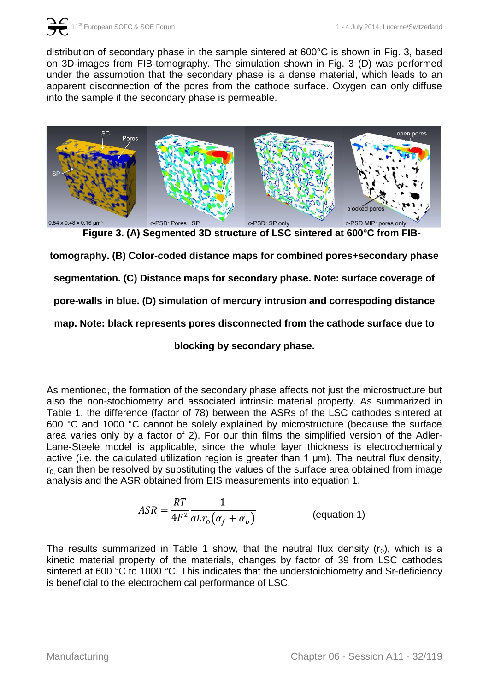

distribution of secondary phase in the sample sintered at 600°C is shown in Fig. 3, based on 3D-images from FIB-tomography. The simulation shown in Fig. 3 (D) was performed under the assumption that the secondary phase is a dense material, which leads to an apparent disconnection of the pores from the cathode surface. Oxygen can only diffuse into the sample if the secondary phase is permeable.



**Figure 3. (A) Segmented 3D structure of LSC sintered at 600°C from FIB-**

**tomography. (B) Color-coded distance maps for combined pores+secondary phase** 

**segmentation. (C) Distance maps for secondary phase. Note: surface coverage of** 

**pore-walls in blue. (D) simulation of mercury intrusion and correspoding distance** 

**map. Note: black represents pores disconnected from the cathode surface due to** 

**blocking by secondary phase.**

As mentioned, the formation of the secondary phase affects not just the microstructure but also the non-stochiometry and associated intrinsic material property. As summarized in Table 1, the difference (factor of 78) between the ASRs of the LSC cathodes sintered at 600 °C and 1000 °C cannot be solely explained by microstructure (because the surface area varies only by a factor of 2). For our thin films the simplified version of the Adler-Lane-Steele model is applicable, since the whole layer thickness is electrochemically active (i.e. the calculated utilization region is greater than 1 μm). The neutral flux density,  $r<sub>0</sub>$  can then be resolved by substituting the values of the surface area obtained from image analysis and the ASR obtained from EIS measurements into equation 1.

$$
ASR = \frac{RT}{4F^2} \frac{1}{aLr_0(\alpha_f + \alpha_b)}
$$
 (equation 1)

The results summarized in Table 1 show, that the neutral flux density  $(r_0)$ , which is a kinetic material property of the materials, changes by factor of 39 from LSC cathodes sintered at 600 °C to 1000 °C. This indicates that the understoichiometry and Sr-deficiency is beneficial to the electrochemical performance of LSC.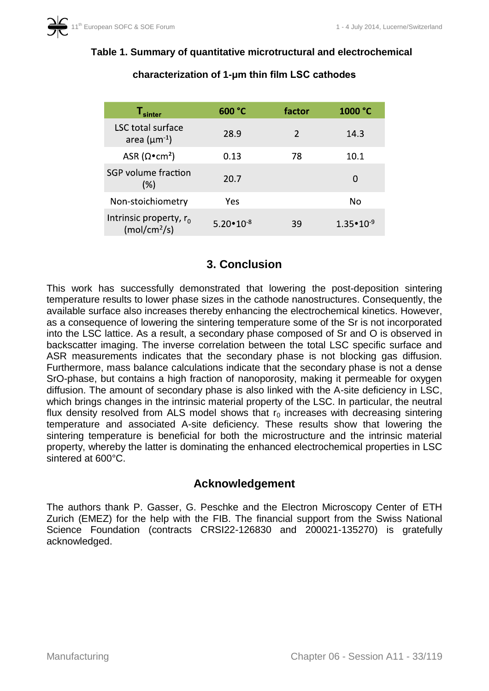| ${\mathsf T}_{\sf sinter}$                            | 600 °C               | factor        | 1000 °C              |
|-------------------------------------------------------|----------------------|---------------|----------------------|
| LSC total surface<br>area ( $\mu$ m <sup>-1</sup> )   | 28.9                 | $\mathcal{P}$ | 14.3                 |
| ASR ( $\Omega$ •cm <sup>2</sup> )                     | 0.13                 | 78            | 10.1                 |
| SGP volume fraction<br>$(\%)$                         | 20.7                 |               | 0                    |
| Non-stoichiometry                                     | Yes                  |               | No                   |
| Intrinsic property, $r_0$<br>(mol/cm <sup>2</sup> /s) | $5.20 \cdot 10^{-8}$ | 39            | $1.35 \cdot 10^{-9}$ |

# **Table 1. Summary of quantitative microtructural and electrochemical**

**characterization of 1-μm thin film LSC cathodes**

# **3. Conclusion**

This work has successfully demonstrated that lowering the post-deposition sintering temperature results to lower phase sizes in the cathode nanostructures. Consequently, the available surface also increases thereby enhancing the electrochemical kinetics. However, as a consequence of lowering the sintering temperature some of the Sr is not incorporated into the LSC lattice. As a result, a secondary phase composed of Sr and O is observed in backscatter imaging. The inverse correlation between the total LSC specific surface and ASR measurements indicates that the secondary phase is not blocking gas diffusion. Furthermore, mass balance calculations indicate that the secondary phase is not a dense SrO-phase, but contains a high fraction of nanoporosity, making it permeable for oxygen diffusion. The amount of secondary phase is also linked with the A-site deficiency in LSC, which brings changes in the intrinsic material property of the LSC. In particular, the neutral flux density resolved from ALS model shows that  $r_0$  increases with decreasing sintering temperature and associated A-site deficiency. These results show that lowering the sintering temperature is beneficial for both the microstructure and the intrinsic material property, whereby the latter is dominating the enhanced electrochemical properties in LSC sintered at 600°C.

# **Acknowledgement**

The authors thank P. Gasser, G. Peschke and the Electron Microscopy Center of ETH Zurich (EMEZ) for the help with the FIB. The financial support from the Swiss National Science Foundation (contracts CRSI22-126830 and 200021-135270) is gratefully acknowledged.